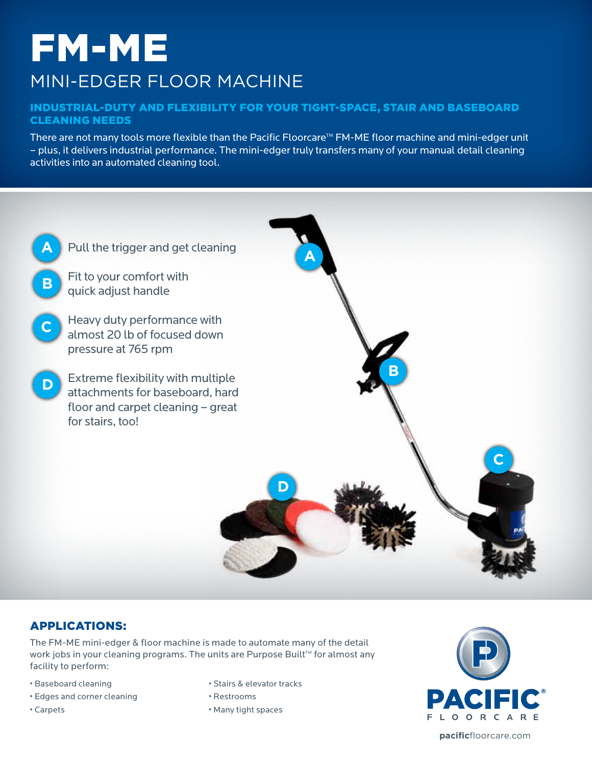# FM-ME MINI-EDGER FLOOR MACHINE

### Industrial-duty and flexibility for your tight-space, stair and baseboard cleaning needs

There are not many tools more flexible than the Pacific Floorcare™ FM-ME floor machine and mini-edger unit – plus, it delivers industrial performance. The mini-edger truly transfers many of your manual detail cleaning activities into an automated cleaning tool.



# Applications:

The FM-ME mini-edger & floor machine is made to automate many of the detail work jobs in your cleaning programs. The units are Purpose Built™ for almost any facility to perform:

- Baseboard cleaning
- Edges and corner cleaning
- Carpets
- Stairs & elevator tracks
- Restrooms
- Many tight spaces



**pacific**floorcare.com